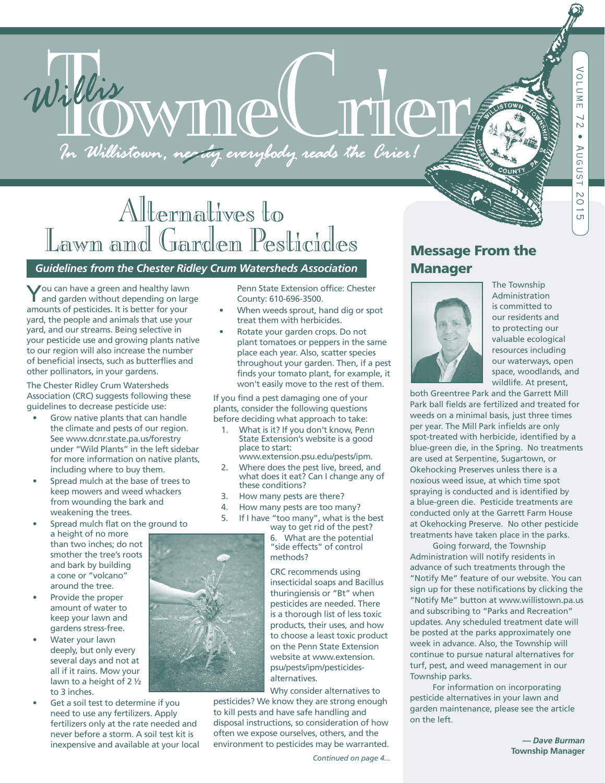# Willis WMMC THET

# Alternatives to<br>Lawn and Garden Pesticides Lawn and Garden Pesticides *Guidelines from the Chester Ridley Crum Watersheds Association*

You can have a green and healthy lawn and garden without depending on large amounts of pesticides. It is better for your yard, the people and animals that use your yard, and our streams. Being selective in your pesticide use and growing plants native to our region will also increase the number of beneficial insects, such as butterflies and other pollinators, in your gardens.

The Chester Ridley Crum Watersheds Association (CRC) suggests following these guidelines to decrease pesticide use:

- Grow native plants that can handle the climate and pests of our region. See www.dcnr.state.pa.us/forestry under "Wild Plants" in the left sidebar for more information on native plants, including where to buy them.
- Spread mulch at the base of trees to keep mowers and weed whackers from wounding the bark and weakening the trees.
- Spread mulch flat on the ground to
	- a height of no more than two inches; do not smother the tree's roots and bark by building a cone or "volcano" around the tree.
- Provide the proper amount of water to keep your lawn and gardens stress-free.
- Water your lawn deeply, but only every several days and not at all if it rains. Mow your lawn to a height of 2 ½ to 3 inches.
- Get a soil test to determine if you need to use any fertilizers. Apply fertilizers only at the rate needed and never before a storm. A soil test kit is inexpensive and available at your local

Penn State Extension office: Chester County: 610-696-3500.

- When weeds sprout, hand dig or spot treat them with herbicides.
- Rotate your garden crops. Do not plant tomatoes or peppers in the same place each year. Also, scatter species throughout your garden. Then, if a pest finds your tomato plant, for example, it won't easily move to the rest of them.

If you find a pest damaging one of your plants, consider the following questions before deciding what approach to take:

- 1. What is it? If you don't know, Penn State Extension's website is a good place to start: www.extension.psu.edu/pests/ipm.
- 2. Where does the pest live, breed, and what does it eat? Can I change any of these conditions?
- 3. How many pests are there?
- 4. How many pests are too many?
- 5. If I have "too many", what is the best

way to get rid of the pest? 6. What are the potential "side effects" of control methods?

CRC recommends using insecticidal soaps and Bacillus thuringiensis or "Bt" when pesticides are needed. There is a thorough list of less toxic products, their uses, and how to choose a least toxic product on the Penn State Extension website at www.extension. psu/pests/ipm/pesticidesalternatives.

Why consider alternatives to pesticides? We know they are strong enough to kill pests and have safe handling and disposal instructions, so consideration of how often we expose ourselves, others, and the environment to pesticides may be warranted.

# Message From the **Manager**



The Township Administration is committed to our residents and to protecting our valuable ecological resources including our waterways, open space, woodlands, and wildlife. At present,

both Greentree Park and the Garrett Mill Park ball fields are fertilized and treated for weeds on a minimal basis, just three times per year. The Mill Park infields are only spot-treated with herbicide, identified by a blue-green die, in the Spring. No treatments are used at Serpentine, Sugartown, or Okehocking Preserves unless there is a noxious weed issue, at which time spot spraying is conducted and is identified by a blue-green die. Pesticide treatments are conducted only at the Garrett Farm House at Okehocking Preserve. No other pesticide treatments have taken place in the parks.

 Going forward, the Township Administration will notify residents in advance of such treatments through the "Notify Me" feature of our website. You can sign up for these notifications by clicking the "Notify Me" button at www.willistown.pa.us and subscribing to "Parks and Recreation" updates. Any scheduled treatment date will be posted at the parks approximately one week in advance. Also, the Township will continue to pursue natural alternatives for turf, pest, and weed management in our Township parks.

 For information on incorporating pesticide alternatives in your lawn and garden maintenance, please see the article on the left.

*— Dave Burman* 



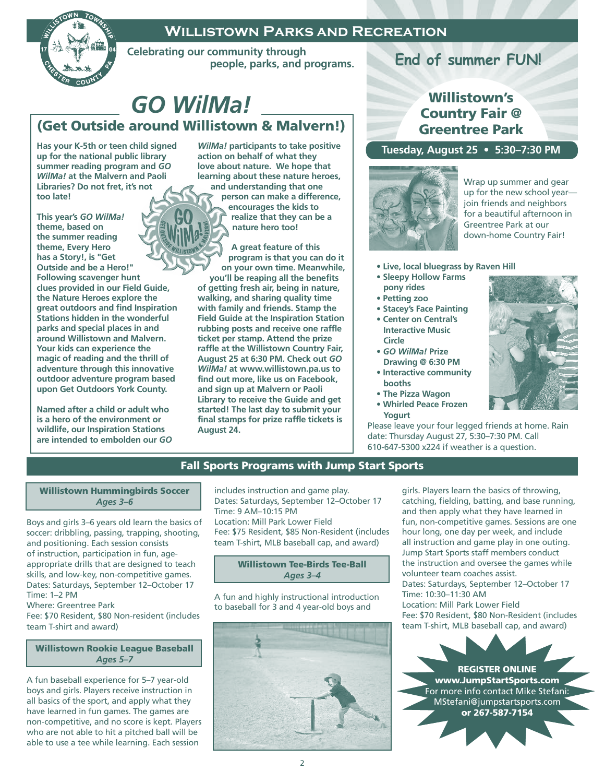#### **Willistown Parks and Recreation**



 **Celebrating our community through people, parks, and programs.**

# *GO WilMa!* (Get Outside around Willistown & Malvern!)

**Has your K-5th or teen child signed up for the national public library summer reading program and** *GO WilMa!* **at the Malvern and Paoli Libraries? Do not fret, it's not too late!** 

**This year's** *GO WilMa!*  **theme, based on the summer reading theme, Every Hero has a Story!, is "Get Outside and be a Hero!" Following scavenger hunt clues provided in our Field Guide, the Nature Heroes explore the great outdoors and find Inspiration Stations hidden in the wonderful parks and special places in and around Willistown and Malvern. Your kids can experience the magic of reading and the thrill of adventure through this innovative outdoor adventure program based upon Get Outdoors York County.** 

**Named after a child or adult who is a hero of the environment or wildlife, our Inspiration Stations are intended to embolden our** *GO*  *WilMa!* **participants to take positive action on behalf of what they love about nature. We hope that learning about these nature heroes, and understanding that one person can make a difference,** 

**encourages the kids to realize that they can be a nature hero too!** 

**A great feature of this program is that you can do it on your own time. Meanwhile, you'll be reaping all the benefits of getting fresh air, being in nature, walking, and sharing quality time with family and friends. Stamp the Field Guide at the Inspiration Station rubbing posts and receive one raffle ticket per stamp. Attend the prize raffle at the Willistown Country Fair, August 25 at 6:30 PM. Check out** *GO WilMa!* **at www.willistown.pa.us to find out more, like us on Facebook, and sign up at Malvern or Paoli Library to receive the Guide and get started! The last day to submit your final stamps for prize raffle tickets is August 24.**

# **End of summer FUN!**

### Willistown's Country Fair @ Greentree Park

#### **Tuesday, August 25 • 5:30–7:30 PM**



Wrap up summer and gear up for the new school year join friends and neighbors for a beautiful afternoon in Greentree Park at our down-home Country Fair!

- **Live, local bluegrass by Raven Hill**
- **Sleepy Hollow Farms pony rides**
- **Petting zoo**
- **Stacey's Face Painting**
- **Center on Central's Interactive Music Circle**
- *GO WilMa!* **Prize Drawing @ 6:30 PM • Interactive community**
- **booths**
- **The Pizza Wagon**
- **Whirled Peace Frozen Yogurt**

Please leave your four legged friends at home. Rain date: Thursday August 27, 5:30–7:30 PM. Call 610-647-5300 x224 if weather is a question.



#### Willistown Hummingbirds Soccer *Ages 3–6*

Boys and girls 3–6 years old learn the basics of soccer: dribbling, passing, trapping, shooting, and positioning. Each session consists of instruction, participation in fun, ageappropriate drills that are designed to teach skills, and low-key, non-competitive games. Dates: Saturdays, September 12–October 17 Time: 1–2 PM

Where: Greentree Park

Fee: \$70 Resident, \$80 Non-resident (includes team T-shirt and award)

#### Willistown Rookie League Baseball *Ages 5–7*

A fun baseball experience for 5–7 year-old boys and girls. Players receive instruction in all basics of the sport, and apply what they have learned in fun games. The games are non-competitive, and no score is kept. Players who are not able to hit a pitched ball will be able to use a tee while learning. Each session

includes instruction and game play. Dates: Saturdays, September 12–October 17 Time: 9 AM–10:15 PM Location: Mill Park Lower Field Fee: \$75 Resident, \$85 Non-Resident (includes team T-shirt, MLB baseball cap, and award)

#### Willistown Tee-Birds Tee-Ball *Ages 3–4*

A fun and highly instructional introduction to baseball for 3 and 4 year-old boys and



girls. Players learn the basics of throwing, catching, fielding, batting, and base running, and then apply what they have learned in fun, non-competitive games. Sessions are one hour long, one day per week, and include all instruction and game play in one outing. Jump Start Sports staff members conduct the instruction and oversee the games while volunteer team coaches assist. Dates: Saturdays, September 12–October 17 Time: 10:30–11:30 AM Location: Mill Park Lower Field Fee: \$70 Resident, \$80 Non-Resident (includes team T-shirt, MLB baseball cap, and award)

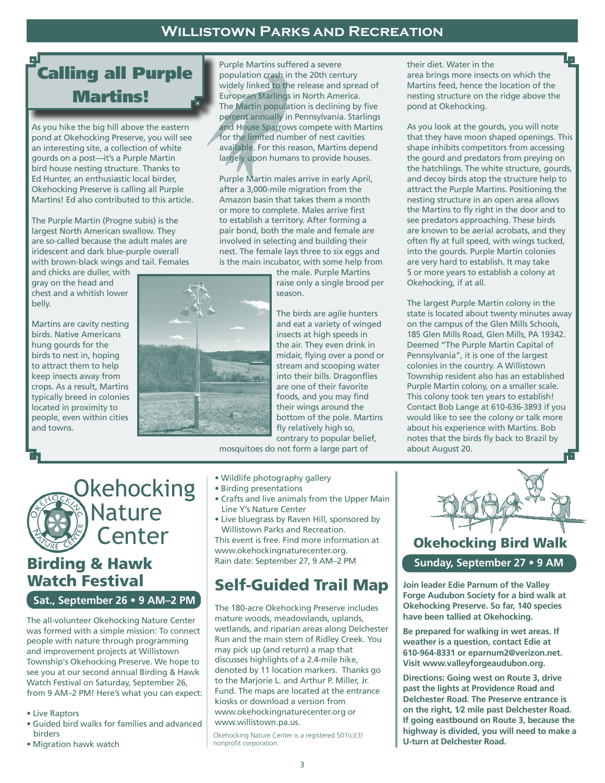## **Willistown Parks and Recreation**

# Calling all Purple Martins!

As you hike the big hill above the eastern pond at Okehocking Preserve, you will see an interesting site, a collection of white gourds on a post—it's a Purple Martin bird house nesting structure. Thanks to Ed Hunter, an enthusiastic local birder, Okehocking Preserve is calling all Purple Martins! Ed also contributed to this article.

The Purple Martin (Progne subis) is the largest North American swallow. They are so-called because the adult males are iridescent and dark blue-purple overall with brown-black wings and tail. Females

and chicks are duller, with gray on the head and chest and a whitish lower belly.

Martins are cavity nesting birds. Native Americans hung gourds for the birds to nest in, hoping to attract them to help keep insects away from crops. As a result, Martins typically breed in colonies located in proximity to people, even within cities and towns.



Purple Martins suffered a severe population crash in the 20th century widely linked to the release and spread of European Starlings in North America. The Martin population is declining by five percent annually in Pennsylvania. Starlings and House Sparrows compete with Martins for the limited number of nest cavities available. For this reason, Martins depend largely upon humans to provide houses.

Purple Martin males arrive in early April, after a 3,000-mile migration from the Amazon basin that takes them a month or more to complete. Males arrive first to establish a territory. After forming a pair bond, both the male and female are involved in selecting and building their nest. The female lays three to six eggs and is the main incubator, with some help from

the male. Purple Martins raise only a single brood per season.

The birds are agile hunters and eat a variety of winged insects at high speeds in the air. They even drink in midair, flying over a pond or stream and scooping water into their bills. Dragonflies are one of their favorite foods, and you may find their wings around the bottom of the pole. Martins fly relatively high so, contrary to popular belief,

mosquitoes do not form a large part of

# Okehocking Nature Center

# Birding & Hawk Watch Festival

**Sat., September 26 • 9 AM–2 PM**

The all-volunteer Okehocking Nature Center was formed with a simple mission: To connect people with nature through programming and improvement projects at Willistown Township's Okehocking Preserve. We hope to see you at our second annual Birding & Hawk Watch Festival on Saturday, September 26, from 9 AM–2 PM! Here's what you can expect:

- Live Raptors
- Guided bird walks for families and advanced birders
- Migration hawk watch
- Wildlife photography gallery
- Birding presentations
- Crafts and live animals from the Upper Main Line Y's Nature Center
- Live bluegrass by Raven Hill, sponsored by Willistown Parks and Recreation. This event is free. Find more information at www.okehockingnaturecenter.org. Rain date: September 27, 9 AM–2 PM

## Self-Guided Trail Map

The 180-acre Okehocking Preserve includes mature woods, meadowlands, uplands, wetlands, and riparian areas along Delchester Run and the main stem of Ridley Creek. You may pick up (and return) a map that discusses highlights of a 2.4-mile hike, denoted by 11 location markers. Thanks go to the Marjorie L. and Arthur P. Miller, Jr. Fund. The maps are located at the entrance kiosks or download a version from www.okehockingnaturecenter.org or www.willistown.pa.us.

Okehocking Nature Center is a registered 501(c)(3) nonprofit corporation.



## Okehocking Bird Walk Sunday, September 28 • 9 A **Sunday, September 27 • 9 AM**

**Join leader Edie Parnum of the Valley Forge Audubon Society for a bird walk at Okehocking Preserve. So far, 140 species have been tallied at Okehocking.** 

**Be prepared for walking in wet areas. If weather is a question, contact Edie at 610-964-8331 or eparnum2@verizon.net. Visit www.valleyforgeaudubon.org.**

**Directions: Going west on Route 3, drive past the lights at Providence Road and Delchester Road. The Preserve entrance is on the right, 1⁄2 mile past Delchester Road. If going eastbound on Route 3, because the highway is divided, you will need to make a U-turn at Delchester Road.**

their diet. Water in the area brings more insects on which the Martins feed, hence the location of the nesting structure on the ridge above the pond at Okehocking.

As you look at the gourds, you will note that they have moon shaped openings. This shape inhibits competitors from accessing the gourd and predators from preying on the hatchlings. The white structure, gourds, and decoy birds atop the structure help to attract the Purple Martins. Positioning the nesting structure in an open area allows the Martins to fly right in the door and to see predators approaching. These birds are known to be aerial acrobats, and they often fly at full speed, with wings tucked, into the gourds. Purple Martin colonies are very hard to establish. It may take 5 or more years to establish a colony at Okehocking, if at all.

The largest Purple Martin colony in the state is located about twenty minutes away on the campus of the Glen Mills Schools, 185 Glen Mills Road, Glen Mills, PA 19342. Deemed "The Purple Martin Capital of Pennsylvania", it is one of the largest colonies in the country. A Willistown Township resident also has an established Purple Martin colony, on a smaller scale. This colony took ten years to establish! Contact Bob Lange at 610-636-3893 if you would like to see the colony or talk more about his experience with Martins. Bob notes that the birds fly back to Brazil by about August 20.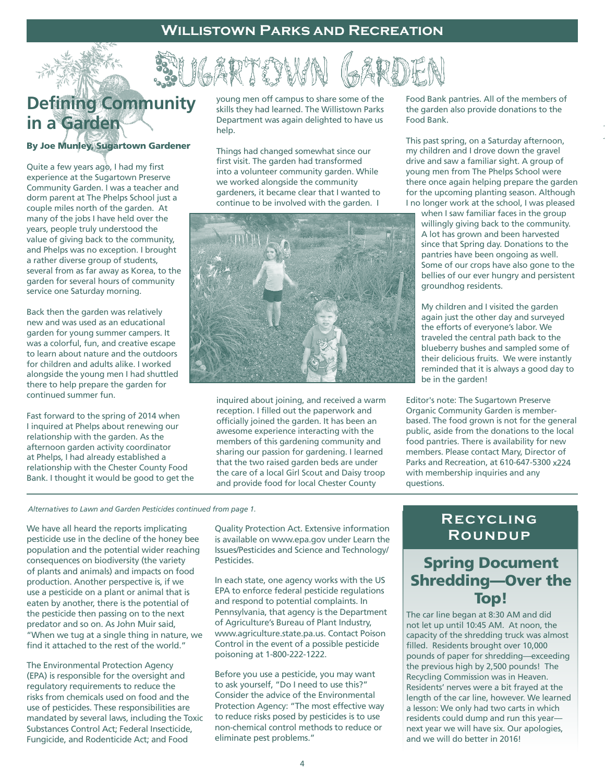# **Defining Community in a Garden**

#### By Joe Munley, Sugartown Gardener

Quite a few years ago, I had my first experience at the Sugartown Preserve Community Garden. I was a teacher and dorm parent at The Phelps School just a couple miles north of the garden. At many of the jobs I have held over the years, people truly understood the value of giving back to the community, and Phelps was no exception. I brought a rather diverse group of students, several from as far away as Korea, to the garden for several hours of community service one Saturday morning.

Back then the garden was relatively new and was used as an educational garden for young summer campers. It was a colorful, fun, and creative escape to learn about nature and the outdoors for children and adults alike. I worked alongside the young men I had shuttled there to help prepare the garden for continued summer fun.

Fast forward to the spring of 2014 when I inquired at Phelps about renewing our relationship with the garden. As the afternoon garden activity coordinator at Phelps, I had already established a relationship with the Chester County Food Bank. I thought it would be good to get the

young men off campus to share some of the skills they had learned. The Willistown Parks Department was again delighted to have us help.

Things had changed somewhat since our first visit. The garden had transformed into a volunteer community garden. While we worked alongside the community gardeners, it became clear that I wanted to continue to be involved with the garden. I



inquired about joining, and received a warm reception. I filled out the paperwork and officially joined the garden. It has been an awesome experience interacting with the members of this gardening community and sharing our passion for gardening. I learned that the two raised garden beds are under the care of a local Girl Scout and Daisy troop and provide food for local Chester County

Food Bank pantries. All of the members of the garden also provide donations to the Food Bank.

This past spring, on a Saturday afternoon, my children and I drove down the gravel drive and saw a familiar sight. A group of young men from The Phelps School were there once again helping prepare the garden for the upcoming planting season. Although I no longer work at the school, I was pleased

when I saw familiar faces in the group willingly giving back to the community. A lot has grown and been harvested since that Spring day. Donations to the pantries have been ongoing as well. Some of our crops have also gone to the bellies of our ever hungry and persistent groundhog residents.

My children and I visited the garden again just the other day and surveyed the efforts of everyone's labor. We traveled the central path back to the blueberry bushes and sampled some of their delicious fruits. We were instantly reminded that it is always a good day to be in the garden!

Editor's note: The Sugartown Preserve Organic Community Garden is memberbased. The food grown is not for the general public, aside from the donations to the local food pantries. There is availability for new members. Please contact Mary, Director of Parks and Recreation, at 610-647-5300 x224 with membership inquiries and any questions.

*Alternatives to Lawn and Garden Pesticides continued from page 1.*

We have all heard the reports implicating pesticide use in the decline of the honey bee population and the potential wider reaching consequences on biodiversity (the variety of plants and animals) and impacts on food production. Another perspective is, if we use a pesticide on a plant or animal that is eaten by another, there is the potential of the pesticide then passing on to the next predator and so on. As John Muir said, "When we tug at a single thing in nature, we find it attached to the rest of the world."

The Environmental Protection Agency (EPA) is responsible for the oversight and regulatory requirements to reduce the risks from chemicals used on food and the use of pesticides. These responsibilities are mandated by several laws, including the Toxic Substances Control Act; Federal Insecticide, Fungicide, and Rodenticide Act; and Food

Quality Protection Act. Extensive information is available on www.epa.gov under Learn the Issues/Pesticides and Science and Technology/ Pesticides.

In each state, one agency works with the US EPA to enforce federal pesticide regulations and respond to potential complaints. In Pennsylvania, that agency is the Department of Agriculture's Bureau of Plant Industry, www.agriculture.state.pa.us. Contact Poison Control in the event of a possible pesticide poisoning at 1-800-222-1222.

Before you use a pesticide, you may want to ask yourself, "Do I need to use this?" Consider the advice of the Environmental Protection Agency: "The most effective way to reduce risks posed by pesticides is to use non-chemical control methods to reduce or eliminate pest problems."

#### **Recycling Roundup**

## Spring Document Shredding—Over the Top!

The car line began at 8:30 AM and did not let up until 10:45 AM. At noon, the capacity of the shredding truck was almost filled. Residents brought over 10,000 pounds of paper for shredding—exceeding the previous high by 2,500 pounds! The Recycling Commission was in Heaven. Residents' nerves were a bit frayed at the length of the car line, however. We learned a lesson: We only had two carts in which residents could dump and run this year next year we will have six. Our apologies, and we will do better in 2016!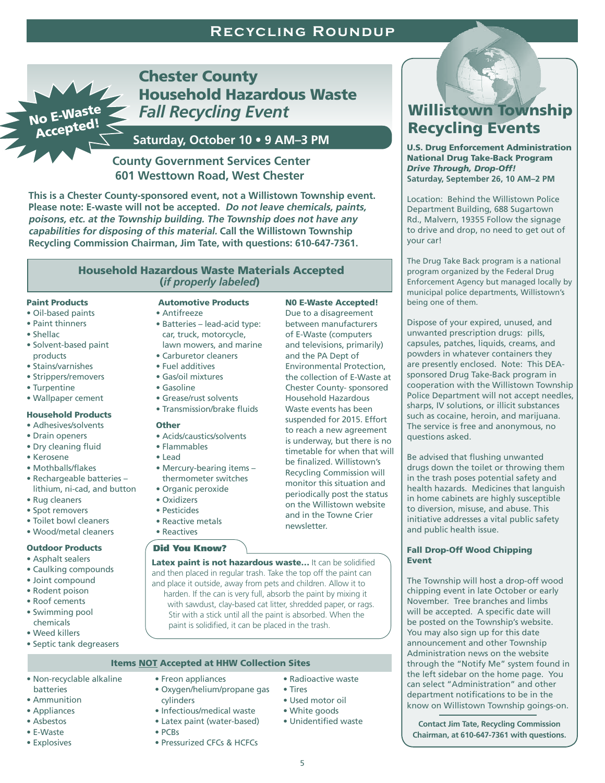#### **Recycling Roundup**

No E-Waste Accepted!

 Chester County Household Hazardous Waste *Fall Recycling Event*

#### **Saturday, October 10 • 9 AM–3 PM**

#### **County Government Services Center 601 Westtown Road, West Chester**

**This is a Chester County-sponsored event, not a Willistown Township event. Please note: E-waste will not be accepted. Do not leave chemicals, paints, poisons, etc. at the Township building. The Township does not have any capabilities for disposing of this material. Call the Willistown Township Recycling Commission Chairman, Jim Tate, with questions: 610-647-7361.**

#### Household Hazardous Waste Materials Accepted (*if properly labeled*)

#### Paint Products

- Oil-based paints
- Paint thinners
- Shellac
- Solvent-based paint products
- Stains/varnishes
- Strippers/removers
- Turpentine
- Wallpaper cement

#### Household Products

- Adhesives/solvents
- Drain openers
- Dry cleaning fluid
- Kerosene
- Mothballs/flakes
- Rechargeable batteries lithium, ni-cad, and button
- Rug cleaners
- Spot removers
- Toilet bowl cleaners • Wood/metal cleaners

#### Outdoor Products

- Asphalt sealers
- Caulking compounds
- Joint compound
- Rodent poison
- Roof cements
- Swimming pool chemicals
- Weed killers
- Septic tank degreasers

#### Automotive Products

- Antifreeze • Batteries – lead-acid type: car, truck, motorcycle, lawn mowers, and marine
- Carburetor cleaners
	- Fuel additives
- Gas/oil mixtures
- Gasoline
- Grease/rust solvents • Transmission/brake fluids
- **Other**
- Acids/caustics/solvents
	- Flammables
	- Lead
	- Mercury-bearing items thermometer switches
	- Organic peroxide
- Oxidizers
- Pesticides
- Reactive metals
- Reactives

#### Did You Know?

Latex paint is not hazardous waste... It can be solidified and then placed in regular trash. Take the top off the paint can and place it outside, away from pets and children. Allow it to harden. If the can is very full, absorb the paint by mixing it with sawdust, clay-based cat litter, shredded paper, or rags. Stir with a stick until all the paint is absorbed. When the paint is solidified, it can be placed in the trash.

#### Items NOT Accepted at HHW Collection Sites

- Non-recyclable alkaline batteries
- Ammunition
- Appliances
- Asbestos
- E-Waste
- Explosives
- Freon appliances • Oxygen/helium/propane gas cylinders
- Infectious/medical waste
- Latex paint (water-based)
- 
- PCBs
	- Pressurized CFCs & HCFCs

#### N0 E-Waste Accepted!

Due to a disagreement between manufacturers of E-Waste (computers and televisions, primarily) and the PA Dept of Environmental Protection, the collection of E-Waste at Chester County- sponsored Household Hazardous Waste events has been suspended for 2015. Effort to reach a new agreement is underway, but there is no timetable for when that will monitor this situation and periodically post the status on the Willistown website and in the Towne Crier newsletter.

#### Fall Drop-Off Wood Chipping Event

The Township will host a drop-off wood chipping event in late October or early November. Tree branches and limbs will be accepted. A specific date will be posted on the Township's website. You may also sign up for this date announcement and other Township Administration news on the website through the "Notify Me" system found in the left sidebar on the home page. You can select "Administration" and other department notifications to be in the know on Willistown Township goings-on.

**Contact Jim Tate, Recycling Commission Chairman, at 610-647-7361 with questions.**

# Willistown Township Recycling Events

U.S. Drug Enforcement Administration National Drug Take-Back Program *Drive Through, Drop-Off!* **Saturday, September 26, 10 AM–2 PM**

Location: Behind the Willistown Police Department Building, 688 Sugartown Rd., Malvern, 19355 Follow the signage to drive and drop, no need to get out of your car!

The Drug Take Back program is a national program organized by the Federal Drug Enforcement Agency but managed locally by municipal police departments, Willistown's being one of them.

Dispose of your expired, unused, and unwanted prescription drugs: pills, capsules, patches, liquids, creams, and powders in whatever containers they are presently enclosed. Note: This DEAsponsored Drug Take-Back program in cooperation with the Willistown Township Police Department will not accept needles, sharps, IV solutions, or illicit substances such as cocaine, heroin, and marijuana. The service is free and anonymous, no questions asked.

Be advised that flushing unwanted drugs down the toilet or throwing them in the trash poses potential safety and health hazards. Medicines that languish in home cabinets are highly susceptible to diversion, misuse, and abuse. This initiative addresses a vital public safety and public health issue.

# be finalized. Willistown's Recycling Commission will

5

- -
	-
- 
- Unidentified waste

#### • Radioactive waste • Tires

- Used motor oil
- White goods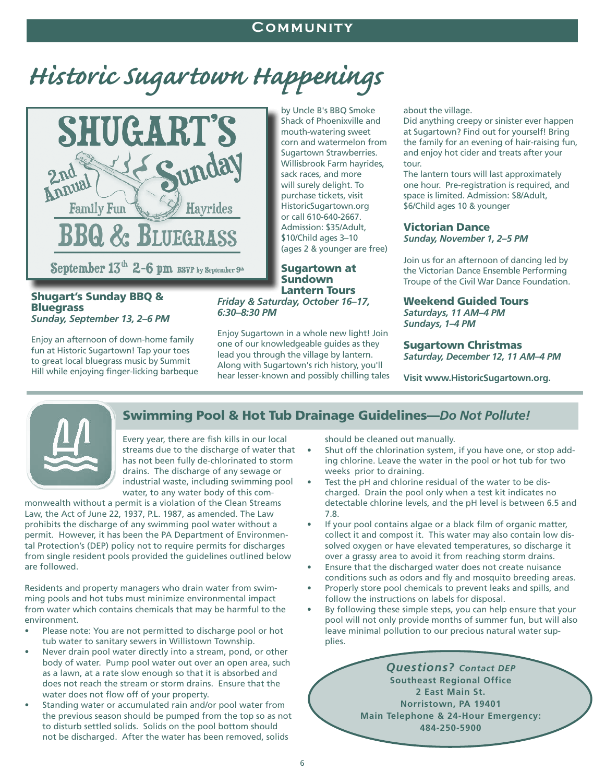#### **Community**

# *Historic Sugartown Happenings*



#### Shugart's Sunday BBQ & **Bluegrass** *Sunday, September 13, 2–6 PM*

Enjoy an afternoon of down-home family fun at Historic Sugartown! Tap your toes to great local bluegrass music by Summit Hill while enjoying finger-licking barbeque by Uncle B's BBQ Smoke Shack of Phoenixville and mouth-watering sweet corn and watermelon from Sugartown Strawberries. Willisbrook Farm hayrides, sack races, and more will surely delight. To purchase tickets, visit HistoricSugartown.org or call 610-640-2667. Admission: \$35/Adult, \$10/Child ages 3–10 (ages 2 & younger are free)

Sugartown at Sundown Lantern Tours *Friday & Saturday, October 16–17, 6:30–8:30 PM*

Enjoy Sugartown in a whole new light! Join one of our knowledgeable guides as they lead you through the village by lantern. Along with Sugartown's rich history, you'll hear lesser-known and possibly chilling tales about the village.

Did anything creepy or sinister ever happen at Sugartown? Find out for yourself! Bring the family for an evening of hair-raising fun, and enjoy hot cider and treats after your tour.

The lantern tours will last approximately one hour. Pre-registration is required, and space is limited. Admission: \$8/Adult, \$6/Child ages 10 & younger

#### Victorian Dance *Sunday, November 1, 2–5 PM*

Join us for an afternoon of dancing led by the Victorian Dance Ensemble Performing Troupe of the Civil War Dance Foundation.

Weekend Guided Tours *Saturdays, 11 AM–4 PM Sundays, 1–4 PM*

#### Sugartown Christmas *Saturday, December 12, 11 AM–4 PM*

**Visit www.HistoricSugartown.org.** 



#### Swimming Pool & Hot Tub Drainage Guidelines—*Do Not Pollute!*

Every year, there are fish kills in our local streams due to the discharge of water that has not been fully de-chlorinated to storm drains. The discharge of any sewage or industrial waste, including swimming pool water, to any water body of this com-

monwealth without a permit is a violation of the Clean Streams Law, the Act of June 22, 1937, P.L. 1987, as amended. The Law prohibits the discharge of any swimming pool water without a permit. However, it has been the PA Department of Environmental Protection's (DEP) policy not to require permits for discharges from single resident pools provided the guidelines outlined below are followed.

Residents and property managers who drain water from swimming pools and hot tubs must minimize environmental impact from water which contains chemicals that may be harmful to the environment.

- Please note: You are not permitted to discharge pool or hot tub water to sanitary sewers in Willistown Township.
- Never drain pool water directly into a stream, pond, or other body of water. Pump pool water out over an open area, such as a lawn, at a rate slow enough so that it is absorbed and does not reach the stream or storm drains. Ensure that the water does not flow off of your property.
- Standing water or accumulated rain and/or pool water from the previous season should be pumped from the top so as not to disturb settled solids. Solids on the pool bottom should not be discharged. After the water has been removed, solids

should be cleaned out manually.

- Shut off the chlorination system, if you have one, or stop adding chlorine. Leave the water in the pool or hot tub for two weeks prior to draining.
- Test the pH and chlorine residual of the water to be discharged. Drain the pool only when a test kit indicates no detectable chlorine levels, and the pH level is between 6.5 and 7.8.
- If your pool contains algae or a black film of organic matter, collect it and compost it. This water may also contain low dissolved oxygen or have elevated temperatures, so discharge it over a grassy area to avoid it from reaching storm drains.
- Ensure that the discharged water does not create nuisance conditions such as odors and fly and mosquito breeding areas.
- Properly store pool chemicals to prevent leaks and spills, and follow the instructions on labels for disposal.
- By following these simple steps, you can help ensure that your pool will not only provide months of summer fun, but will also leave minimal pollution to our precious natural water supplies.

*Questions? Contact DEP* **Southeast Regional Office 2 East Main St. Norristown, PA 19401 Main Telephone & 24-Hour Emergency: 484-250-5900**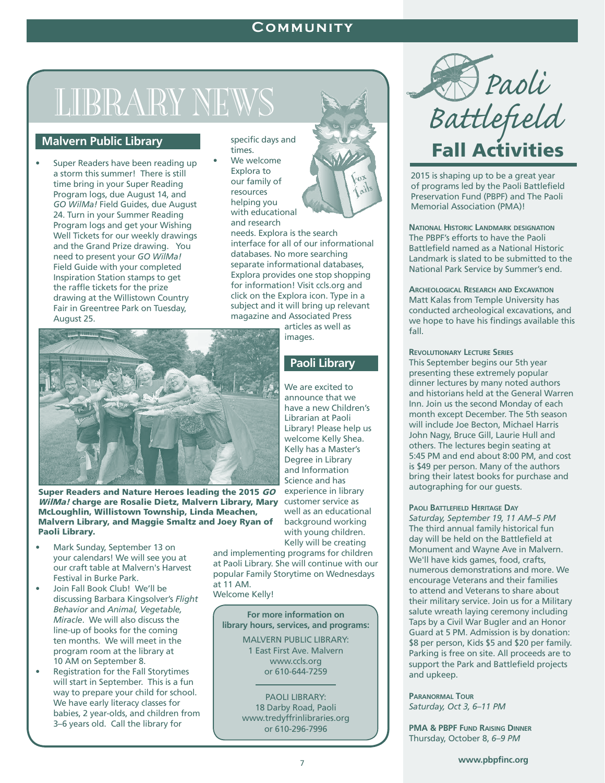#### **Community**

# LIBRARY NEW

#### **Malvern Public Library**

Super Readers have been reading up a storm this summer! There is still time bring in your Super Reading Program logs, due August 14, and *GO WilMa!* Field Guides, due August 24. Turn in your Summer Reading Program logs and get your Wishing Well Tickets for our weekly drawings and the Grand Prize drawing. You need to present your *GO WilMa!* Field Guide with your completed Inspiration Station stamps to get the raffle tickets for the prize drawing at the Willistown Country Fair in Greentree Park on Tuesday, August 25.

specific days and times.

We welcome Explora to our family of resources helping you with educational and research

needs. Explora is the search interface for all of our informational databases. No more searching separate informational databases, Explora provides one stop shopping for information! Visit ccls.org and click on the Explora icon. Type in a subject and it will bring up relevant magazine and Associated Press

articles as well as images.

#### **Paoli Library**

We are excited to announce that we have a new Children's Librarian at Paoli Library! Please help us welcome Kelly Shea. Kelly has a Master's Degree in Library and Information Science and has experience in library well as an educational background working with young children. Kelly will be creating

and implementing programs for children at Paoli Library. She will continue with our popular Family Storytime on Wednesdays at 11 AM.

Welcome Kelly!

**For more information on library hours, services, and programs:**

> MALVERN PUBLIC LIBRARY: 1 East First Ave. Malvern www.ccls.org or 610-644-7259

PAOLI LIBRARY: 18 Darby Road, Paoli www.tredyffrinlibraries.org or 610-296-7996



2015 is shaping up to be a great year of programs led by the Paoli Battlefield Preservation Fund (PBPF) and The Paoli Memorial Association (PMA)!

**National Historic Landmark designation** The PBPF's efforts to have the Paoli Battlefield named as a National Historic Landmark is slated to be submitted to the National Park Service by Summer's end.

#### **Archeological Research and Excavation**

Matt Kalas from Temple University has conducted archeological excavations, and we hope to have his findings available this fall.

#### **Revolutionary Lecture Series**

This September begins our 5th year presenting these extremely popular dinner lectures by many noted authors and historians held at the General Warren Inn. Join us the second Monday of each month except December. The 5th season will include Joe Becton, Michael Harris John Nagy, Bruce Gill, Laurie Hull and others. The lectures begin seating at 5:45 PM and end about 8:00 PM, and cost is \$49 per person. Many of the authors bring their latest books for purchase and autographing for our guests.

#### **Paoli Battlefield Heritage Day**

*Saturday, September 19, 11 AM–5 PM* The third annual family historical fun day will be held on the Battlefield at Monument and Wayne Ave in Malvern. We'll have kids games, food, crafts, numerous demonstrations and more. We encourage Veterans and their families to attend and Veterans to share about their military service. Join us for a Military salute wreath laying ceremony including Taps by a Civil War Bugler and an Honor Guard at 5 PM. Admission is by donation: \$8 per person, Kids \$5 and \$20 per family. Parking is free on site. All proceeds are to support the Park and Battlefield projects and upkeep.

**Paranormal Tour** *Saturday, Oct 3, 6–11 PM*

**PMA & PBPF Fund Raising Dinner** Thursday, October 8, *6–9 PM*



WilMa! charge are Rosalie Dietz, Malvern Library, Mary Customer service as Super Readers and Nature Heroes leading the 2015 GO McLoughlin, Willistown Township, Linda Meachen, Malvern Library, and Maggie Smaltz and Joey Ryan of Paoli Library.

- Mark Sunday, September 13 on your calendars! We will see you at our craft table at Malvern's Harvest Festival in Burke Park.
- Join Fall Book Club! We'll be discussing Barbara Kingsolver's *Flight Behavior* and *Animal, Vegetable, Miracle*. We will also discuss the line-up of books for the coming ten months. We will meet in the program room at the library at 10 AM on September 8.
- Registration for the Fall Storytimes will start in September. This is a fun way to prepare your child for school. We have early literacy classes for babies, 2 year-olds, and children from 3–6 years old. Call the library for